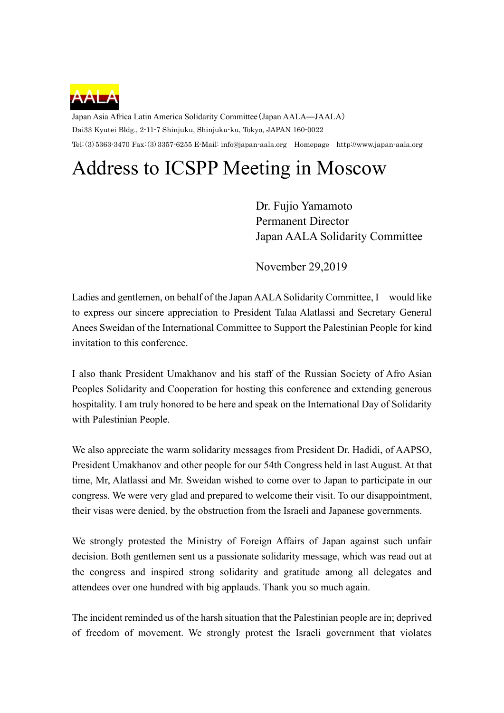

Japan Asia Africa Latin America Solidarity Committee(Japan AALA―JAALA) Dai33 Kyutei Bldg., 2-11-7 Shinjuku, Shinjuku-ku, Tokyo, JAPAN 160-0022 Tel:(3)5363-3470 Fax:(3)3357-6255 E-Mail: info@japan-aala.org Homepage http://www.japan-aala.org

## Address to ICSPP Meeting in Moscow

Dr. Fujio Yamamoto Permanent Director Japan AALA Solidarity Committee

November 29,2019

Ladies and gentlemen, on behalf of the Japan AALA Solidarity Committee, I would like to express our sincere appreciation to President Talaa Alatlassi and Secretary General Anees Sweidan of the International Committee to Support the Palestinian People for kind invitation to this conference.

I also thank President Umakhanov and his staff of the Russian Society of Afro Asian Peoples Solidarity and Cooperation for hosting this conference and extending generous hospitality. I am truly honored to be here and speak on the International Day of Solidarity with Palestinian People.

We also appreciate the warm solidarity messages from President Dr. Hadidi, of AAPSO, President Umakhanov and other people for our 54th Congress held in last August. At that time, Mr, Alatlassi and Mr. Sweidan wished to come over to Japan to participate in our congress. We were very glad and prepared to welcome their visit. To our disappointment, their visas were denied, by the obstruction from the Israeli and Japanese governments.

We strongly protested the Ministry of Foreign Affairs of Japan against such unfair decision. Both gentlemen sent us a passionate solidarity message, which was read out at the congress and inspired strong solidarity and gratitude among all delegates and attendees over one hundred with big applauds. Thank you so much again.

The incident reminded us of the harsh situation that the Palestinian people are in; deprived of freedom of movement. We strongly protest the Israeli government that violates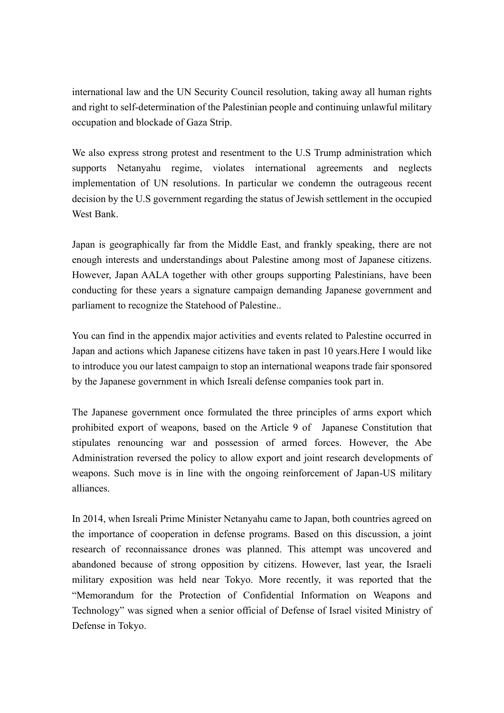international law and the UN Security Council resolution, taking away all human rights and right to self-determination of the Palestinian people and continuing unlawful military occupation and blockade of Gaza Strip.

We also express strong protest and resentment to the U.S Trump administration which supports Netanyahu regime, violates international agreements and neglects implementation of UN resolutions. In particular we condemn the outrageous recent decision by the U.S government regarding the status of Jewish settlement in the occupied West Bank.

Japan is geographically far from the Middle East, and frankly speaking, there are not enough interests and understandings about Palestine among most of Japanese citizens. However, Japan AALA together with other groups supporting Palestinians, have been conducting for these years a signature campaign demanding Japanese government and parliament to recognize the Statehood of Palestine..

You can find in the appendix major activities and events related to Palestine occurred in Japan and actions which Japanese citizens have taken in past 10 years.Here I would like to introduce you our latest campaign to stop an international weapons trade fair sponsored by the Japanese government in which Isreali defense companies took part in.

The Japanese government once formulated the three principles of arms export which prohibited export of weapons, based on the Article 9 of Japanese Constitution that stipulates renouncing war and possession of armed forces. However, the Abe Administration reversed the policy to allow export and joint research developments of weapons. Such move is in line with the ongoing reinforcement of Japan-US military alliances.

In 2014, when Isreali Prime Minister Netanyahu came to Japan, both countries agreed on the importance of cooperation in defense programs. Based on this discussion, a joint research of reconnaissance drones was planned. This attempt was uncovered and abandoned because of strong opposition by citizens. However, last year, the Israeli military exposition was held near Tokyo. More recently, it was reported that the "Memorandum for the Protection of Confidential Information on Weapons and Technology" was signed when a senior official of Defense of Israel visited Ministry of Defense in Tokyo.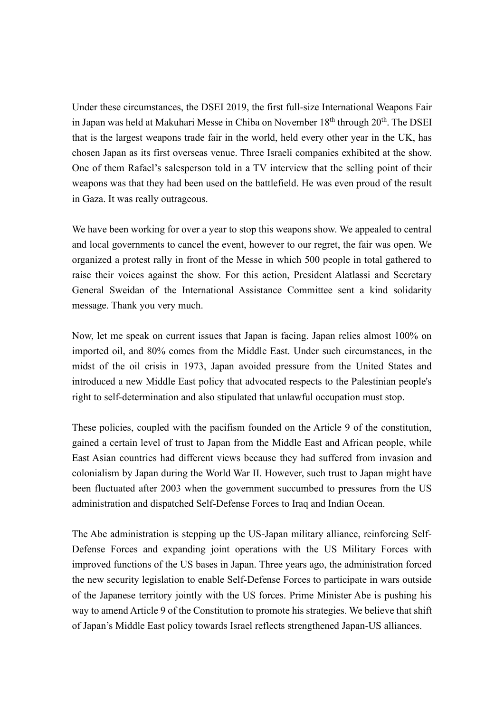Under these circumstances, the DSEI 2019, the first full-size International Weapons Fair in Japan was held at Makuhari Messe in Chiba on November 18<sup>th</sup> through 20<sup>th</sup>. The DSEI that is the largest weapons trade fair in the world, held every other year in the UK, has chosen Japan as its first overseas venue. Three Israeli companies exhibited at the show. One of them Rafael's salesperson told in a TV interview that the selling point of their weapons was that they had been used on the battlefield. He was even proud of the result in Gaza. It was really outrageous.

We have been working for over a year to stop this weapons show. We appealed to central and local governments to cancel the event, however to our regret, the fair was open. We organized a protest rally in front of the Messe in which 500 people in total gathered to raise their voices against the show. For this action, President Alatlassi and Secretary General Sweidan of the International Assistance Committee sent a kind solidarity message. Thank you very much.

Now, let me speak on current issues that Japan is facing. Japan relies almost 100% on imported oil, and 80% comes from the Middle East. Under such circumstances, in the midst of the oil crisis in 1973, Japan avoided pressure from the United States and introduced a new Middle East policy that advocated respects to the Palestinian people's right to self-determination and also stipulated that unlawful occupation must stop.

These policies, coupled with the pacifism founded on the Article 9 of the constitution, gained a certain level of trust to Japan from the Middle East and African people, while East Asian countries had different views because they had suffered from invasion and colonialism by Japan during the World War II. However, such trust to Japan might have been fluctuated after 2003 when the government succumbed to pressures from the US administration and dispatched Self-Defense Forces to Iraq and Indian Ocean.

The Abe administration is stepping up the US-Japan military alliance, reinforcing Self-Defense Forces and expanding joint operations with the US Military Forces with improved functions of the US bases in Japan. Three years ago, the administration forced the new security legislation to enable Self-Defense Forces to participate in wars outside of the Japanese territory jointly with the US forces. Prime Minister Abe is pushing his way to amend Article 9 of the Constitution to promote his strategies. We believe that shift of Japan's Middle East policy towards Israel reflects strengthened Japan-US alliances.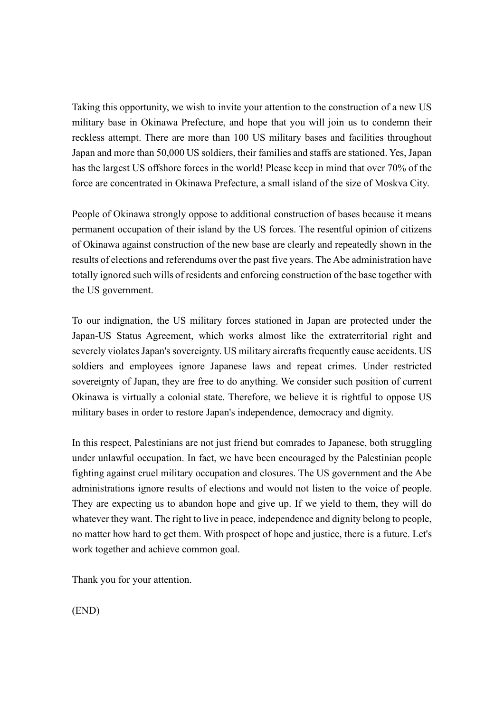Taking this opportunity, we wish to invite your attention to the construction of a new US military base in Okinawa Prefecture, and hope that you will join us to condemn their reckless attempt. There are more than 100 US military bases and facilities throughout Japan and more than 50,000 US soldiers, their families and staffs are stationed. Yes, Japan has the largest US offshore forces in the world! Please keep in mind that over 70% of the force are concentrated in Okinawa Prefecture, a small island of the size of Moskva City.

People of Okinawa strongly oppose to additional construction of bases because it means permanent occupation of their island by the US forces. The resentful opinion of citizens of Okinawa against construction of the new base are clearly and repeatedly shown in the results of elections and referendums over the past five years. The Abe administration have totally ignored such wills of residents and enforcing construction of the base together with the US government.

To our indignation, the US military forces stationed in Japan are protected under the Japan-US Status Agreement, which works almost like the extraterritorial right and severely violates Japan's sovereignty. US military aircrafts frequently cause accidents. US soldiers and employees ignore Japanese laws and repeat crimes. Under restricted sovereignty of Japan, they are free to do anything. We consider such position of current Okinawa is virtually a colonial state. Therefore, we believe it is rightful to oppose US military bases in order to restore Japan's independence, democracy and dignity.

In this respect, Palestinians are not just friend but comrades to Japanese, both struggling under unlawful occupation. In fact, we have been encouraged by the Palestinian people fighting against cruel military occupation and closures. The US government and the Abe administrations ignore results of elections and would not listen to the voice of people. They are expecting us to abandon hope and give up. If we yield to them, they will do whatever they want. The right to live in peace, independence and dignity belong to people, no matter how hard to get them. With prospect of hope and justice, there is a future. Let's work together and achieve common goal.

Thank you for your attention.

(END)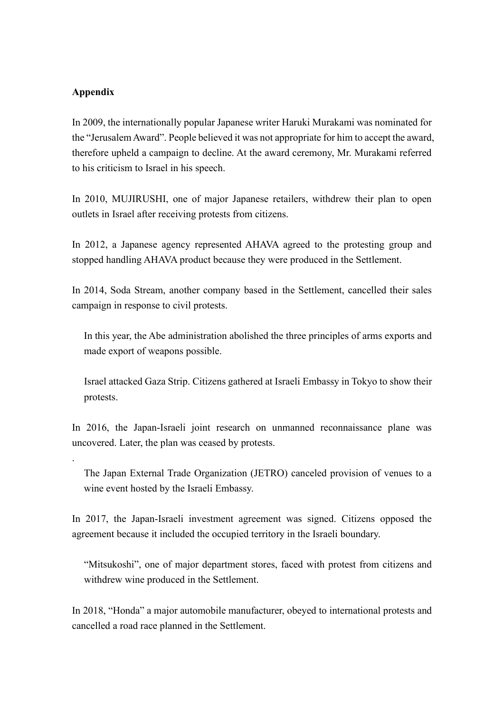## **Appendix**

.

In 2009, the internationally popular Japanese writer Haruki Murakami was nominated for the "Jerusalem Award". People believed it was not appropriate for him to accept the award, therefore upheld a campaign to decline. At the award ceremony, Mr. Murakami referred to his criticism to Israel in his speech.

In 2010, MUJIRUSHI, one of major Japanese retailers, withdrew their plan to open outlets in Israel after receiving protests from citizens.

In 2012, a Japanese agency represented AHAVA agreed to the protesting group and stopped handling AHAVA product because they were produced in the Settlement.

In 2014, Soda Stream, another company based in the Settlement, cancelled their sales campaign in response to civil protests.

In this year, the Abe administration abolished the three principles of arms exports and made export of weapons possible.

Israel attacked Gaza Strip. Citizens gathered at Israeli Embassy in Tokyo to show their protests.

In 2016, the Japan-Israeli joint research on unmanned reconnaissance plane was uncovered. Later, the plan was ceased by protests.

The Japan External Trade Organization (JETRO) canceled provision of venues to a wine event hosted by the Israeli Embassy.

In 2017, the Japan-Israeli investment agreement was signed. Citizens opposed the agreement because it included the occupied territory in the Israeli boundary.

"Mitsukoshi", one of major department stores, faced with protest from citizens and withdrew wine produced in the Settlement.

In 2018, "Honda" a major automobile manufacturer, obeyed to international protests and cancelled a road race planned in the Settlement.